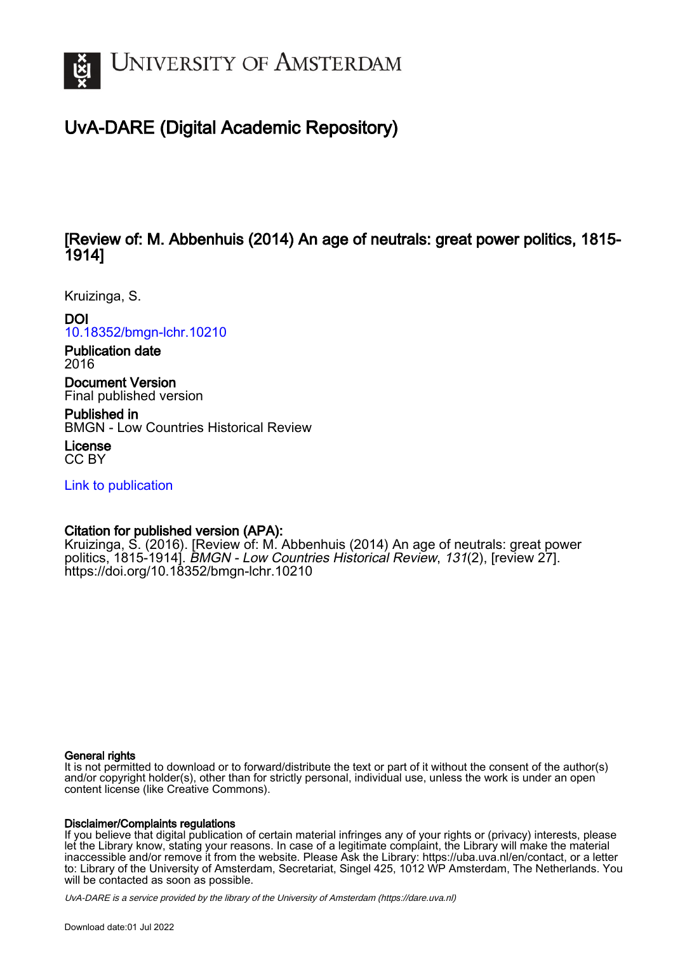

# UvA-DARE (Digital Academic Repository)

## [Review of: M. Abbenhuis (2014) An age of neutrals: great power politics, 1815- 1914]

Kruizinga, S.

## DOI

[10.18352/bmgn-lchr.10210](https://doi.org/10.18352/bmgn-lchr.10210)

Publication date 2016

Document Version Final published version

Published in

BMGN - Low Countries Historical Review

License CC BY

[Link to publication](https://dare.uva.nl/personal/pure/en/publications/review-of-m-abbenhuis-2014-an-age-of-neutrals-great-power-politics-18151914(7f6a6ff7-ce4d-4d29-9197-f18af9a7f10b).html)

## Citation for published version (APA):

Kruizinga, S. (2016). [Review of: M. Abbenhuis (2014) An age of neutrals: great power politics, 1815-19141. BMGN - Low Countries Historical Review, 131(2), [review 27]. <https://doi.org/10.18352/bmgn-lchr.10210>

#### General rights

It is not permitted to download or to forward/distribute the text or part of it without the consent of the author(s) and/or copyright holder(s), other than for strictly personal, individual use, unless the work is under an open content license (like Creative Commons).

#### Disclaimer/Complaints regulations

If you believe that digital publication of certain material infringes any of your rights or (privacy) interests, please let the Library know, stating your reasons. In case of a legitimate complaint, the Library will make the material inaccessible and/or remove it from the website. Please Ask the Library: https://uba.uva.nl/en/contact, or a letter to: Library of the University of Amsterdam, Secretariat, Singel 425, 1012 WP Amsterdam, The Netherlands. You will be contacted as soon as possible.

UvA-DARE is a service provided by the library of the University of Amsterdam (http*s*://dare.uva.nl)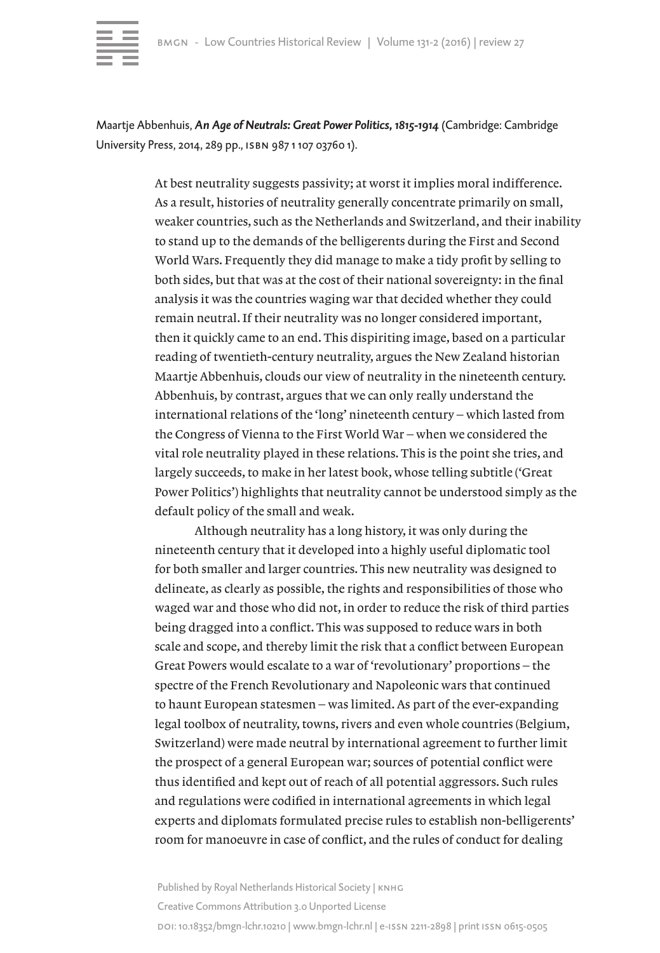

Maartje Abbenhuis, *An Age of Neutrals: Great Power Politics, 1815-1914* (Cambridge: Cambridge University Press, 2014, 289 pp., isbn 987 1 107 03760 1).

> At best neutrality suggests passivity; at worst it implies moral indifference. As a result, histories of neutrality generally concentrate primarily on small, weaker countries, such as the Netherlands and Switzerland, and their inability to stand up to the demands of the belligerents during the First and Second World Wars. Frequently they did manage to make a tidy profit by selling to both sides, but that was at the cost of their national sovereignty: in the final analysis it was the countries waging war that decided whether they could remain neutral. If their neutrality was no longer considered important, then it quickly came to an end. This dispiriting image, based on a particular reading of twentieth-century neutrality, argues the New Zealand historian Maartje Abbenhuis, clouds our view of neutrality in the nineteenth century. Abbenhuis, by contrast, argues that we can only really understand the international relations of the 'long' nineteenth century – which lasted from the Congress of Vienna to the First World War – when we considered the vital role neutrality played in these relations. This is the point she tries, and largely succeeds, to make in her latest book, whose telling subtitle ('Great Power Politics') highlights that neutrality cannot be understood simply as the default policy of the small and weak.

Although neutrality has a long history, it was only during the nineteenth century that it developed into a highly useful diplomatic tool for both smaller and larger countries. This new neutrality was designed to delineate, as clearly as possible, the rights and responsibilities of those who waged war and those who did not, in order to reduce the risk of third parties being dragged into a conflict. This was supposed to reduce wars in both scale and scope, and thereby limit the risk that a conflict between European Great Powers would escalate to a war of 'revolutionary' proportions – the spectre of the French Revolutionary and Napoleonic wars that continued to haunt European statesmen – was limited. As part of the ever-expanding legal toolbox of neutrality, towns, rivers and even whole countries (Belgium, Switzerland) were made neutral by international agreement to further limit the prospect of a general European war; sources of potential conflict were thus identified and kept out of reach of all potential aggressors. Such rules and regulations were codified in international agreements in which legal experts and diplomats formulated precise rules to establish non-belligerents' room for manoeuvre in case of conflict, and the rules of conduct for dealing

Published by Royal Netherlands Historical Society | KNHG Creative Commons Attribution 3.0 Unported License doi: 10.18352/bmgn-lchr.10210 | www.bmgn-lchr.nl | e-issn 2211-2898 | print issn 0615-0505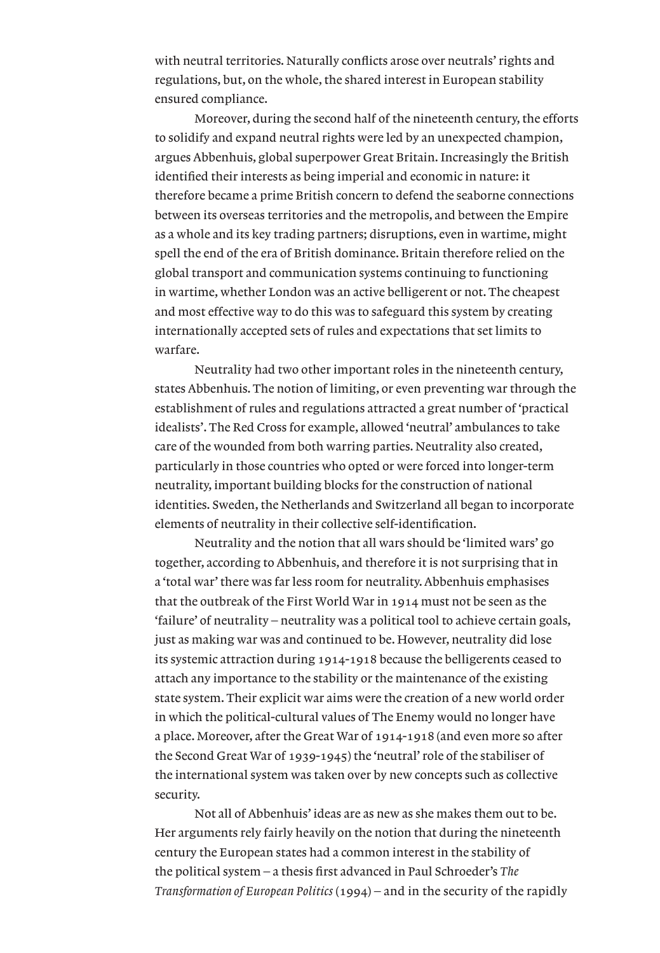with neutral territories. Naturally conflicts arose over neutrals' rights and regulations, but, on the whole, the shared interest in European stability ensured compliance.

Moreover, during the second half of the nineteenth century, the efforts to solidify and expand neutral rights were led by an unexpected champion, argues Abbenhuis, global superpower Great Britain. Increasingly the British identified their interests as being imperial and economic in nature: it therefore became a prime British concern to defend the seaborne connections between its overseas territories and the metropolis, and between the Empire as a whole and its key trading partners; disruptions, even in wartime, might spell the end of the era of British dominance. Britain therefore relied on the global transport and communication systems continuing to functioning in wartime, whether London was an active belligerent or not. The cheapest and most effective way to do this was to safeguard this system by creating internationally accepted sets of rules and expectations that set limits to warfare.

Neutrality had two other important roles in the nineteenth century, states Abbenhuis. The notion of limiting, or even preventing war through the establishment of rules and regulations attracted a great number of 'practical idealists'. The Red Cross for example, allowed 'neutral' ambulances to take care of the wounded from both warring parties. Neutrality also created, particularly in those countries who opted or were forced into longer-term neutrality, important building blocks for the construction of national identities. Sweden, the Netherlands and Switzerland all began to incorporate elements of neutrality in their collective self-identification.

Neutrality and the notion that all wars should be 'limited wars' go together, according to Abbenhuis, and therefore it is not surprising that in a 'total war' there was far less room for neutrality. Abbenhuis emphasises that the outbreak of the First World War in 1914 must not be seen as the 'failure' of neutrality – neutrality was a political tool to achieve certain goals, just as making war was and continued to be. However, neutrality did lose its systemic attraction during 1914-1918 because the belligerents ceased to attach any importance to the stability or the maintenance of the existing state system. Their explicit war aims were the creation of a new world order in which the political-cultural values of The Enemy would no longer have a place. Moreover, after the Great War of 1914-1918 (and even more so after the Second Great War of 1939-1945) the 'neutral' role of the stabiliser of the international system was taken over by new concepts such as collective security.

Not all of Abbenhuis' ideas are as new as she makes them out to be. Her arguments rely fairly heavily on the notion that during the nineteenth century the European states had a common interest in the stability of the political system – a thesis first advanced in Paul Schroeder's *The Transformation of European Politics* (1994) – and in the security of the rapidly